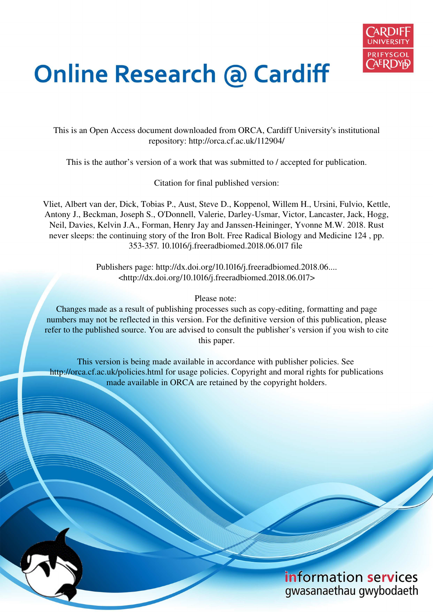

# **Online Research @ Cardiff**

This is an Open Access document downloaded from ORCA, Cardiff University's institutional repository: http://orca.cf.ac.uk/112904/

This is the author's version of a work that was submitted to / accepted for publication.

Citation for final published version:

Vliet, Albert van der, Dick, Tobias P., Aust, Steve D., Koppenol, Willem H., Ursini, Fulvio, Kettle, Antony J., Beckman, Joseph S., O'Donnell, Valerie, Darley-Usmar, Victor, Lancaster, Jack, Hogg, Neil, Davies, Kelvin J.A., Forman, Henry Jay and Janssen-Heininger, Yvonne M.W. 2018. Rust never sleeps: the continuing story of the Iron Bolt. Free Radical Biology and Medicine 124 , pp. 353-357. 10.1016/j.freeradbiomed.2018.06.017 file

> Publishers page: http://dx.doi.org/10.1016/j.freeradbiomed.2018.06.... <http://dx.doi.org/10.1016/j.freeradbiomed.2018.06.017>

> > Please note:

Changes made as a result of publishing processes such as copy-editing, formatting and page numbers may not be reflected in this version. For the definitive version of this publication, please refer to the published source. You are advised to consult the publisher's version if you wish to cite this paper.

This version is being made available in accordance with publisher policies. See http://orca.cf.ac.uk/policies.html for usage policies. Copyright and moral rights for publications made available in ORCA are retained by the copyright holders.

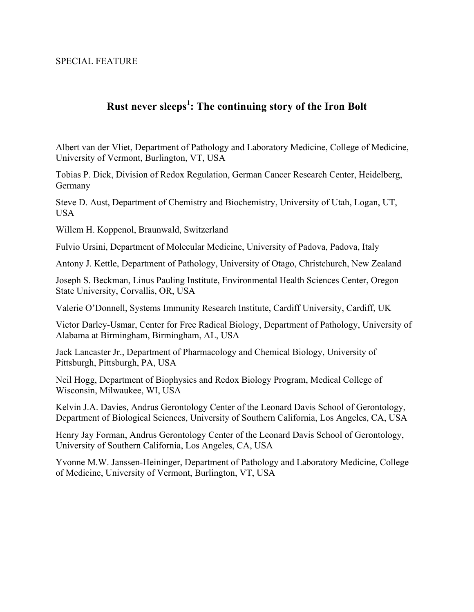## SPECIAL FEATURE

# **Rust never sleeps<sup>1</sup> : The continuing story of the Iron Bolt**

Albert van der Vliet, Department of Pathology and Laboratory Medicine, College of Medicine, University of Vermont, Burlington, VT, USA

Tobias P. Dick, Division of Redox Regulation, German Cancer Research Center, Heidelberg, Germany

Steve D. Aust, Department of Chemistry and Biochemistry, University of Utah, Logan, UT, USA

Willem H. Koppenol, Braunwald, Switzerland

Fulvio Ursini, Department of Molecular Medicine, University of Padova, Padova, Italy

Antony J. Kettle, Department of Pathology, University of Otago, Christchurch, New Zealand

Joseph S. Beckman, Linus Pauling Institute, Environmental Health Sciences Center, Oregon State University, Corvallis, OR, USA

Valerie O'Donnell, Systems Immunity Research Institute, Cardiff University, Cardiff, UK

Victor Darley-Usmar, Center for Free Radical Biology, Department of Pathology, University of Alabama at Birmingham, Birmingham, AL, USA

Jack Lancaster Jr., Department of Pharmacology and Chemical Biology, University of Pittsburgh, Pittsburgh, PA, USA

Neil Hogg, Department of Biophysics and Redox Biology Program, Medical College of Wisconsin, Milwaukee, WI, USA

Kelvin J.A. Davies, Andrus Gerontology Center of the Leonard Davis School of Gerontology, Department of Biological Sciences, University of Southern California, Los Angeles, CA, USA

Henry Jay Forman, Andrus Gerontology Center of the Leonard Davis School of Gerontology, University of Southern California, Los Angeles, CA, USA

Yvonne M.W. Janssen-Heininger, Department of Pathology and Laboratory Medicine, College of Medicine, University of Vermont, Burlington, VT, USA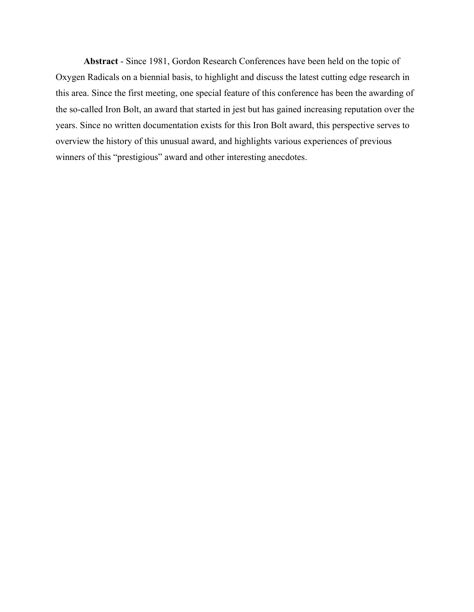**Abstract** - Since 1981, Gordon Research Conferences have been held on the topic of Oxygen Radicals on a biennial basis, to highlight and discuss the latest cutting edge research in this area. Since the first meeting, one special feature of this conference has been the awarding of the so-called Iron Bolt, an award that started in jest but has gained increasing reputation over the years. Since no written documentation exists for this Iron Bolt award, this perspective serves to overview the history of this unusual award, and highlights various experiences of previous winners of this "prestigious" award and other interesting anecdotes.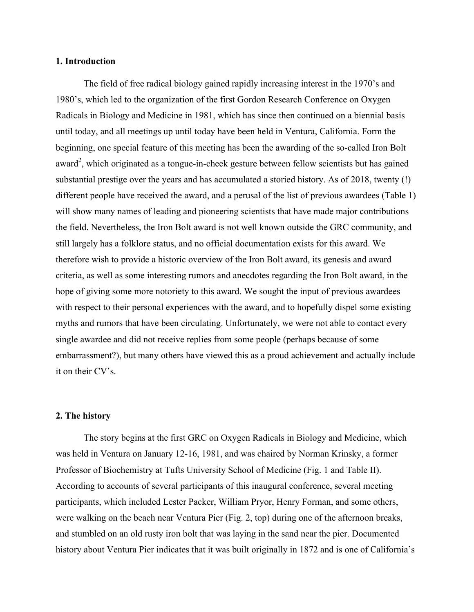#### **1. Introduction**

The field of free radical biology gained rapidly increasing interest in the 1970's and 1980's, which led to the organization of the first Gordon Research Conference on Oxygen Radicals in Biology and Medicine in 1981, which has since then continued on a biennial basis until today, and all meetings up until today have been held in Ventura, California. Form the beginning, one special feature of this meeting has been the awarding of the so-called Iron Bolt award<sup>2</sup>, which originated as a tongue-in-cheek gesture between fellow scientists but has gained substantial prestige over the years and has accumulated a storied history. As of 2018, twenty (!) different people have received the award, and a perusal of the list of previous awardees (Table 1) will show many names of leading and pioneering scientists that have made major contributions the field. Nevertheless, the Iron Bolt award is not well known outside the GRC community, and still largely has a folklore status, and no official documentation exists for this award. We therefore wish to provide a historic overview of the Iron Bolt award, its genesis and award criteria, as well as some interesting rumors and anecdotes regarding the Iron Bolt award, in the hope of giving some more notoriety to this award. We sought the input of previous awardees with respect to their personal experiences with the award, and to hopefully dispel some existing myths and rumors that have been circulating. Unfortunately, we were not able to contact every single awardee and did not receive replies from some people (perhaps because of some embarrassment?), but many others have viewed this as a proud achievement and actually include it on their CV's.

#### **2. The history**

The story begins at the first GRC on Oxygen Radicals in Biology and Medicine, which was held in Ventura on January 12-16, 1981, and was chaired by Norman Krinsky, a former Professor of Biochemistry at Tufts University School of Medicine (Fig. 1 and Table II). According to accounts of several participants of this inaugural conference, several meeting participants, which included Lester Packer, William Pryor, Henry Forman, and some others, were walking on the beach near Ventura Pier (Fig. 2, top) during one of the afternoon breaks, and stumbled on an old rusty iron bolt that was laying in the sand near the pier. Documented history about Ventura Pier indicates that it was built originally in 1872 and is one of California's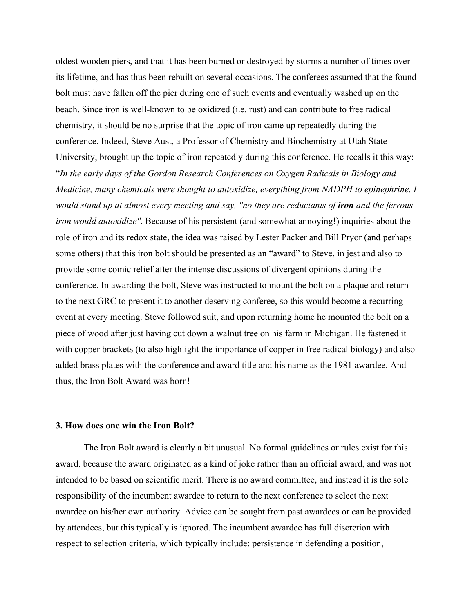oldest wooden piers, and that it has been burned or destroyed by storms a number of times over its lifetime, and has thus been rebuilt on several occasions. The conferees assumed that the found bolt must have fallen off the pier during one of such events and eventually washed up on the beach. Since iron is well-known to be oxidized (i.e. rust) and can contribute to free radical chemistry, it should be no surprise that the topic of iron came up repeatedly during the conference. Indeed, Steve Aust, a Professor of Chemistry and Biochemistry at Utah State University, brought up the topic of iron repeatedly during this conference. He recalls it this way: "*In the early days of the Gordon Research Conferences on Oxygen Radicals in Biology and Medicine, many chemicals were thought to autoxidize, everything from NADPH to epinephrine. I would stand up at almost every meeting and say, "no they are reductants of iron and the ferrous iron would autoxidize"*. Because of his persistent (and somewhat annoying!) inquiries about the role of iron and its redox state, the idea was raised by Lester Packer and Bill Pryor (and perhaps some others) that this iron bolt should be presented as an "award" to Steve, in jest and also to provide some comic relief after the intense discussions of divergent opinions during the conference. In awarding the bolt, Steve was instructed to mount the bolt on a plaque and return to the next GRC to present it to another deserving conferee, so this would become a recurring event at every meeting. Steve followed suit, and upon returning home he mounted the bolt on a piece of wood after just having cut down a walnut tree on his farm in Michigan. He fastened it with copper brackets (to also highlight the importance of copper in free radical biology) and also added brass plates with the conference and award title and his name as the 1981 awardee. And thus, the Iron Bolt Award was born!

#### **3. How does one win the Iron Bolt?**

The Iron Bolt award is clearly a bit unusual. No formal guidelines or rules exist for this award, because the award originated as a kind of joke rather than an official award, and was not intended to be based on scientific merit. There is no award committee, and instead it is the sole responsibility of the incumbent awardee to return to the next conference to select the next awardee on his/her own authority. Advice can be sought from past awardees or can be provided by attendees, but this typically is ignored. The incumbent awardee has full discretion with respect to selection criteria, which typically include: persistence in defending a position,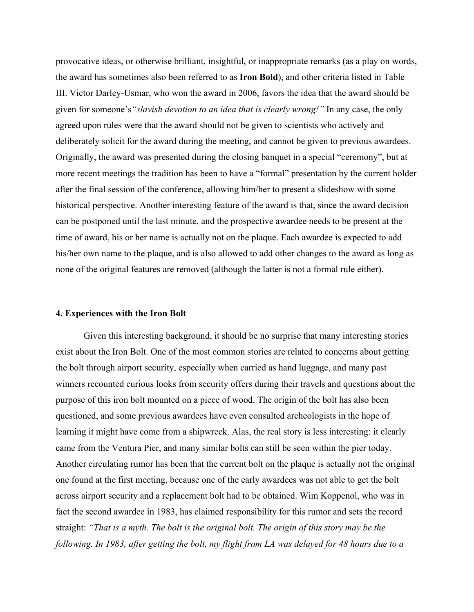provocative ideas, or otherwise brilliant, insightful, or inappropriate remarks (as a play on words, the award has sometimes also been referred to as **Iron Bold**), and other criteria listed in Table III. Victor Darley-Usmar, who won the award in 2006, favors the idea that the award should be given for someone's*"slavish devotion to an idea that is clearly wrong!"* In any case, the only agreed upon rules were that the award should not be given to scientists who actively and deliberately solicit for the award during the meeting, and cannot be given to previous awardees. Originally, the award was presented during the closing banquet in a special "ceremony", but at more recent meetings the tradition has been to have a "formal" presentation by the current holder after the final session of the conference, allowing him/her to present a slideshow with some historical perspective. Another interesting feature of the award is that, since the award decision can be postponed until the last minute, and the prospective awardee needs to be present at the time of award, his or her name is actually not on the plaque. Each awardee is expected to add his/her own name to the plaque, and is also allowed to add other changes to the award as long as none of the original features are removed (although the latter is not a formal rule either).

#### **4. Experiences with the Iron Bolt**

Given this interesting background, it should be no surprise that many interesting stories exist about the Iron Bolt. One of the most common stories are related to concerns about getting the bolt through airport security, especially when carried as hand luggage, and many past winners recounted curious looks from security offers during their travels and questions about the purpose of this iron bolt mounted on a piece of wood. The origin of the bolt has also been questioned, and some previous awardees have even consulted archeologists in the hope of learning it might have come from a shipwreck. Alas, the real story is less interesting: it clearly came from the Ventura Pier, and many similar bolts can still be seen within the pier today. Another circulating rumor has been that the current bolt on the plaque is actually not the original one found at the first meeting, because one of the early awardees was not able to get the bolt across airport security and a replacement bolt had to be obtained. Wim Koppenol, who was in fact the second awardee in 1983, has claimed responsibility for this rumor and sets the record straight: *"That is a myth. The bolt is the original bolt. The origin of this story may be the following. In 1983, after getting the bolt, my flight from LA was delayed for 48 hours due to a*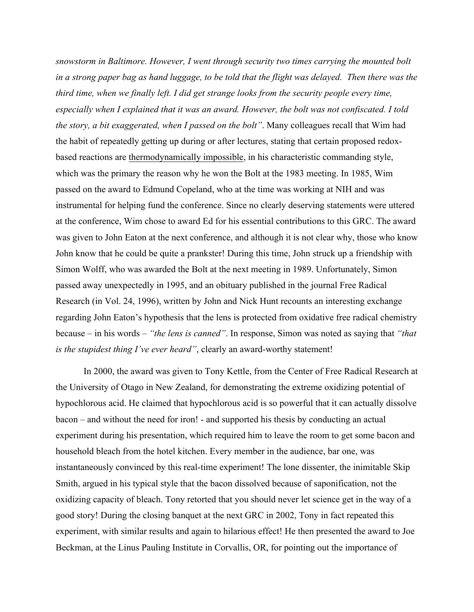*snowstorm in Baltimore. However, I went through security two times carrying the mounted bolt in a strong paper bag as hand luggage, to be told that the flight was delayed. Then there was the third time, when we finally left. I did get strange looks from the security people every time, especially when I explained that it was an award. However, the bolt was not confiscated. I told the story, a bit exaggerated, when I passed on the bolt"*. Many colleagues recall that Wim had the habit of repeatedly getting up during or after lectures, stating that certain proposed redoxbased reactions are thermodynamically impossible, in his characteristic commanding style, which was the primary the reason why he won the Bolt at the 1983 meeting. In 1985, Wim passed on the award to Edmund Copeland, who at the time was working at NIH and was instrumental for helping fund the conference. Since no clearly deserving statements were uttered at the conference, Wim chose to award Ed for his essential contributions to this GRC. The award was given to John Eaton at the next conference, and although it is not clear why, those who know John know that he could be quite a prankster! During this time, John struck up a friendship with Simon Wolff, who was awarded the Bolt at the next meeting in 1989. Unfortunately, Simon passed away unexpectedly in 1995, and an obituary published in the journal Free Radical Research (in Vol. 24, 1996), written by John and Nick Hunt recounts an interesting exchange regarding John Eaton's hypothesis that the lens is protected from oxidative free radical chemistry because – in his words – *"the lens is canned"*. In response, Simon was noted as saying that *"that is the stupidest thing I've ever heard"*, clearly an award-worthy statement!

In 2000, the award was given to Tony Kettle, from the Center of Free Radical Research at the University of Otago in New Zealand, for demonstrating the extreme oxidizing potential of hypochlorous acid. He claimed that hypochlorous acid is so powerful that it can actually dissolve bacon – and without the need for iron! - and supported his thesis by conducting an actual experiment during his presentation, which required him to leave the room to get some bacon and household bleach from the hotel kitchen. Every member in the audience, bar one, was instantaneously convinced by this real-time experiment! The lone dissenter, the inimitable Skip Smith, argued in his typical style that the bacon dissolved because of saponification, not the oxidizing capacity of bleach. Tony retorted that you should never let science get in the way of a good story! During the closing banquet at the next GRC in 2002, Tony in fact repeated this experiment, with similar results and again to hilarious effect! He then presented the award to Joe Beckman, at the Linus Pauling Institute in Corvallis, OR, for pointing out the importance of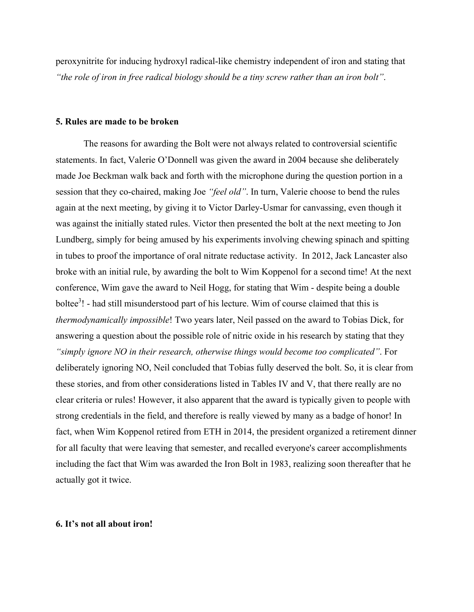peroxynitrite for inducing hydroxyl radical-like chemistry independent of iron and stating that *"the role of iron in free radical biology should be a tiny screw rather than an iron bolt"*.

#### **5. Rules are made to be broken**

The reasons for awarding the Bolt were not always related to controversial scientific statements. In fact, Valerie O'Donnell was given the award in 2004 because she deliberately made Joe Beckman walk back and forth with the microphone during the question portion in a session that they co-chaired, making Joe *"feel old"*. In turn, Valerie choose to bend the rules again at the next meeting, by giving it to Victor Darley-Usmar for canvassing, even though it was against the initially stated rules. Victor then presented the bolt at the next meeting to Jon Lundberg, simply for being amused by his experiments involving chewing spinach and spitting in tubes to proof the importance of oral nitrate reductase activity. In 2012, Jack Lancaster also broke with an initial rule, by awarding the bolt to Wim Koppenol for a second time! At the next conference, Wim gave the award to Neil Hogg, for stating that Wim - despite being a double boltee<sup>3</sup>! - had still misunderstood part of his lecture. Wim of course claimed that this is *thermodynamically impossible*! Two years later, Neil passed on the award to Tobias Dick, for answering a question about the possible role of nitric oxide in his research by stating that they *"simply ignore NO in their research, otherwise things would become too complicated"*. For deliberately ignoring NO, Neil concluded that Tobias fully deserved the bolt. So, it is clear from these stories, and from other considerations listed in Tables IV and V, that there really are no clear criteria or rules! However, it also apparent that the award is typically given to people with strong credentials in the field, and therefore is really viewed by many as a badge of honor! In fact, when Wim Koppenol retired from ETH in 2014, the president organized a retirement dinner for all faculty that were leaving that semester, and recalled everyone's career accomplishments including the fact that Wim was awarded the Iron Bolt in 1983, realizing soon thereafter that he actually got it twice.

### **6. It's not all about iron!**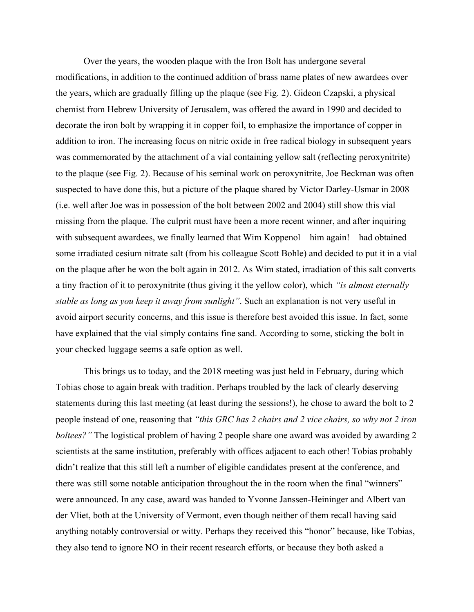Over the years, the wooden plaque with the Iron Bolt has undergone several modifications, in addition to the continued addition of brass name plates of new awardees over the years, which are gradually filling up the plaque (see Fig. 2). Gideon Czapski, a physical chemist from Hebrew University of Jerusalem, was offered the award in 1990 and decided to decorate the iron bolt by wrapping it in copper foil, to emphasize the importance of copper in addition to iron. The increasing focus on nitric oxide in free radical biology in subsequent years was commemorated by the attachment of a vial containing yellow salt (reflecting peroxynitrite) to the plaque (see Fig. 2). Because of his seminal work on peroxynitrite, Joe Beckman was often suspected to have done this, but a picture of the plaque shared by Victor Darley-Usmar in 2008 (i.e. well after Joe was in possession of the bolt between 2002 and 2004) still show this vial missing from the plaque. The culprit must have been a more recent winner, and after inquiring with subsequent awardees, we finally learned that Wim Koppenol – him again! – had obtained some irradiated cesium nitrate salt (from his colleague Scott Bohle) and decided to put it in a vial on the plaque after he won the bolt again in 2012. As Wim stated, irradiation of this salt converts a tiny fraction of it to peroxynitrite (thus giving it the yellow color), which *"is almost eternally stable as long as you keep it away from sunlight"*. Such an explanation is not very useful in avoid airport security concerns, and this issue is therefore best avoided this issue. In fact, some have explained that the vial simply contains fine sand. According to some, sticking the bolt in your checked luggage seems a safe option as well.

This brings us to today, and the 2018 meeting was just held in February, during which Tobias chose to again break with tradition. Perhaps troubled by the lack of clearly deserving statements during this last meeting (at least during the sessions!), he chose to award the bolt to 2 people instead of one, reasoning that *"this GRC has 2 chairs and 2 vice chairs, so why not 2 iron boltees?"* The logistical problem of having 2 people share one award was avoided by awarding 2 scientists at the same institution, preferably with offices adjacent to each other! Tobias probably didn't realize that this still left a number of eligible candidates present at the conference, and there was still some notable anticipation throughout the in the room when the final "winners" were announced. In any case, award was handed to Yvonne Janssen-Heininger and Albert van der Vliet, both at the University of Vermont, even though neither of them recall having said anything notably controversial or witty. Perhaps they received this "honor" because, like Tobias, they also tend to ignore NO in their recent research efforts, or because they both asked a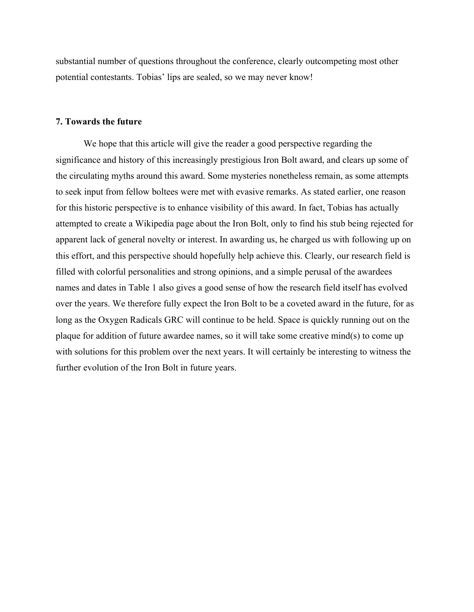substantial number of questions throughout the conference, clearly outcompeting most other potential contestants. Tobias' lips are sealed, so we may never know!

#### **7. Towards the future**

We hope that this article will give the reader a good perspective regarding the significance and history of this increasingly prestigious Iron Bolt award, and clears up some of the circulating myths around this award. Some mysteries nonetheless remain, as some attempts to seek input from fellow boltees were met with evasive remarks. As stated earlier, one reason for this historic perspective is to enhance visibility of this award. In fact, Tobias has actually attempted to create a Wikipedia page about the Iron Bolt, only to find his stub being rejected for apparent lack of general novelty or interest. In awarding us, he charged us with following up on this effort, and this perspective should hopefully help achieve this. Clearly, our research field is filled with colorful personalities and strong opinions, and a simple perusal of the awardees names and dates in Table 1 also gives a good sense of how the research field itself has evolved over the years. We therefore fully expect the Iron Bolt to be a coveted award in the future, for as long as the Oxygen Radicals GRC will continue to be held. Space is quickly running out on the plaque for addition of future awardee names, so it will take some creative mind(s) to come up with solutions for this problem over the next years. It will certainly be interesting to witness the further evolution of the Iron Bolt in future years.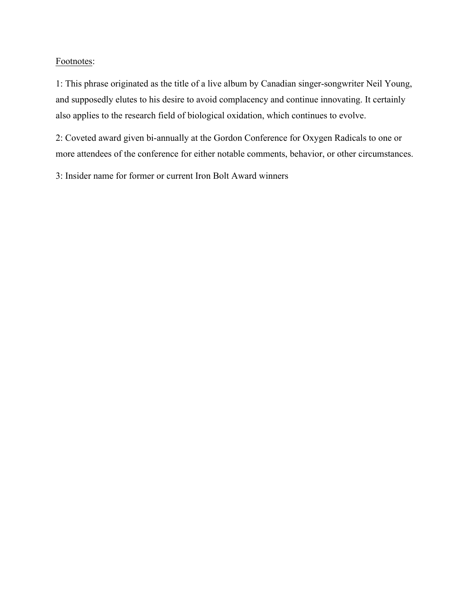## Footnotes:

1: This phrase originated as the title of a live album by Canadian singer-songwriter Neil Young, and supposedly elutes to his desire to avoid complacency and continue innovating. It certainly also applies to the research field of biological oxidation, which continues to evolve.

2: Coveted award given bi-annually at the Gordon Conference for Oxygen Radicals to one or more attendees of the conference for either notable comments, behavior, or other circumstances.

3: Insider name for former or current Iron Bolt Award winners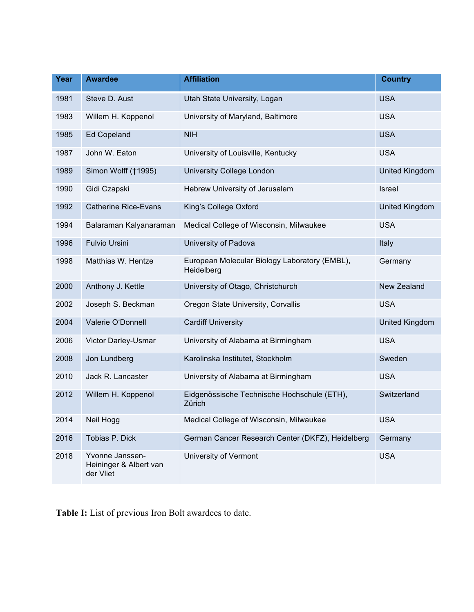| Year | <b>Awardee</b>                                         | <b>Affiliation</b>                                          | <b>Country</b>        |
|------|--------------------------------------------------------|-------------------------------------------------------------|-----------------------|
| 1981 | Steve D. Aust                                          | Utah State University, Logan                                | <b>USA</b>            |
| 1983 | Willem H. Koppenol                                     | University of Maryland, Baltimore                           | <b>USA</b>            |
| 1985 | <b>Ed Copeland</b>                                     | <b>NIH</b>                                                  | <b>USA</b>            |
| 1987 | John W. Eaton                                          | University of Louisville, Kentucky                          | <b>USA</b>            |
| 1989 | Simon Wolff (†1995)                                    | <b>University College London</b>                            | <b>United Kingdom</b> |
| 1990 | Gidi Czapski                                           | Hebrew University of Jerusalem                              | <b>Israel</b>         |
| 1992 | <b>Catherine Rice-Evans</b>                            | King's College Oxford                                       | <b>United Kingdom</b> |
| 1994 | Balaraman Kalyanaraman                                 | Medical College of Wisconsin, Milwaukee                     | <b>USA</b>            |
| 1996 | Fulvio Ursini                                          | University of Padova                                        | Italy                 |
| 1998 | Matthias W. Hentze                                     | European Molecular Biology Laboratory (EMBL),<br>Heidelberg | Germany               |
| 2000 | Anthony J. Kettle                                      | University of Otago, Christchurch                           | New Zealand           |
| 2002 | Joseph S. Beckman                                      | Oregon State University, Corvallis                          | <b>USA</b>            |
| 2004 | Valerie O'Donnell                                      | <b>Cardiff University</b>                                   | <b>United Kingdom</b> |
| 2006 | Victor Darley-Usmar                                    | University of Alabama at Birmingham                         | <b>USA</b>            |
| 2008 | Jon Lundberg                                           | Karolinska Institutet, Stockholm                            | Sweden                |
| 2010 | Jack R. Lancaster                                      | University of Alabama at Birmingham                         | <b>USA</b>            |
| 2012 | Willem H. Koppenol                                     | Eidgenössische Technische Hochschule (ETH),<br>Zürich       | Switzerland           |
| 2014 | Neil Hogg                                              | Medical College of Wisconsin, Milwaukee                     | <b>USA</b>            |
| 2016 | Tobias P. Dick                                         | German Cancer Research Center (DKFZ), Heidelberg            | Germany               |
| 2018 | Yvonne Janssen-<br>Heininger & Albert van<br>der Vliet | University of Vermont                                       | <b>USA</b>            |

**Table I:** List of previous Iron Bolt awardees to date.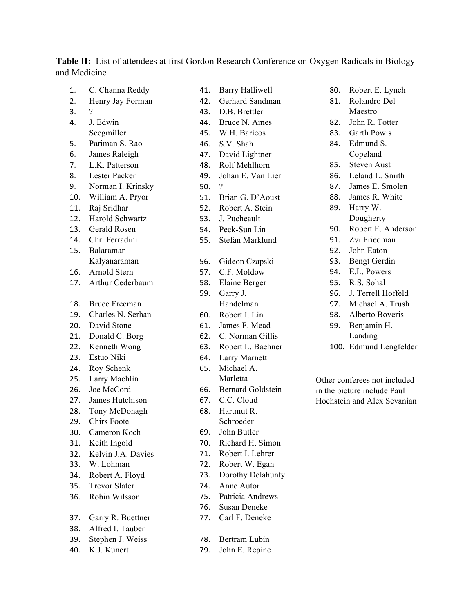**Table II:** List of attendees at first Gordon Research Conference on Oxygen Radicals in Biology and Medicine

- 1. C. Channa Reddy
- 2. Henry Jay Forman
- 3. ?
- 4. J. Edwin Seegmiller
- 5. Pariman S. Rao
- 6. James Raleigh
- 7. L.K. Patterson
- 8. Lester Packer
- 9. Norman I. Krinsky
- 10. William A. Pryor
- 11. Raj Sridhar
- 12. Harold Schwartz
- 13. Gerald Rosen
- 14. Chr. Ferradini
- 15. Balaraman
- Kalyanaraman
- 16. Arnold Stern
- 17. Arthur Cederbaum
- 18. Bruce Freeman
- 19. Charles N. Serhan
- 20. David Stone
- 21. Donald C. Borg
- 22. Kenneth Wong
- 23. Estuo Niki
- 24. Roy Schenk
- 25. Larry Machlin
- 26. Joe McCord
- 27. James Hutchison
- 28. Tony McDonagh
- 29. Chirs Foote
- 30. Cameron Koch
- 31. Keith Ingold
- 32. Kelvin J.A. Davies
- 33. W. Lohman
- 34. Robert A. Floyd
- 35. Trevor Slater
- 36. Robin Wilsson
- 37. Garry R. Buettner
- 38. Alfred I. Tauber
- 39. Stephen J. Weiss
- 40. K.J. Kunert
- 41. Barry Halliwell
- 42. Gerhard Sandman
- 43. D.B. Brettler
- 44. Bruce N. Ames
- 45. W.H. Baricos
- 46. S.V. Shah
- 47. David Lightner
- 48. Rolf Mehlhorn
- 49. Johan E. Van Lier
- 50. ?
- 51. Brian G. D'Aoust
- 52. Robert A. Stein
- 53. J. Pucheault
- 54. Peck-Sun Lin
- 55. Stefan Marklund
- 56. Gideon Czapski
- 57. C.F. Moldow
- 58. Elaine Berger
- 59. Garry J. Handelman
- 60. Robert I. Lin
- 61. James F. Mead
- 62. C. Norman Gillis
- 63. Robert L. Baehner
- 64. Larry Marnett
- 65. Michael A.
- Marletta
- 66. Bernard Goldstein
- 67. C.C. Cloud
- 68. Hartmut R. Schroeder
- 69. John Butler
- 70. Richard H. Simon
- 71. Robert I. Lehrer
- 72. Robert W. Egan
- 73. Dorothy Delahunty
- 74. Anne Autor
- 75. Patricia Andrews
- 76. Susan Deneke
- 77. Carl F. Deneke
- 78. Bertram Lubin
- 79. John E. Repine
- 80. Robert E. Lynch
- 81. Rolandro Del Maestro
- 82. John R. Totter
- 83. Garth Powis
- 84. Edmund S.
	- Copeland
- 85. Steven Aust
- 86. Leland L. Smith
- 87. James E. Smolen
- 88. James R. White
- 89. Harry W. Dougherty
- 90. Robert E. Anderson
- 91. Zvi Friedman
- 92. John Eaton
- 93. Bengt Gerdin
- 94. E.L. Powers
- 95. R.S. Sohal
- 96. J. Terrell Hoffeld 97. Michael A. Trush

98. Alberto Boveris 99. Benjamin H. Landing 100. Edmund Lengfelder

Other conferees not included in the picture include Paul Hochstein and Alex Sevanian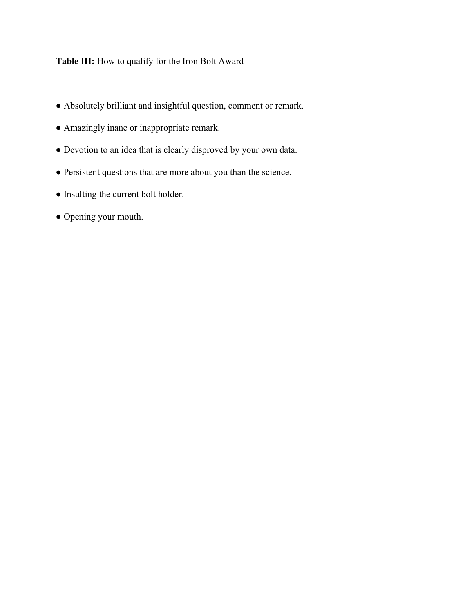# **Table III:** How to qualify for the Iron Bolt Award

- Absolutely brilliant and insightful question, comment or remark.
- Amazingly inane or inappropriate remark.
- Devotion to an idea that is clearly disproved by your own data.
- Persistent questions that are more about you than the science.
- Insulting the current bolt holder.
- Opening your mouth.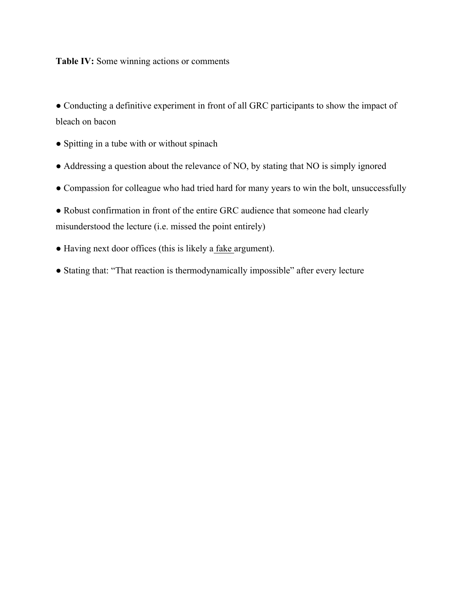## **Table IV:** Some winning actions or comments

● Conducting a definitive experiment in front of all GRC participants to show the impact of bleach on bacon

- Spitting in a tube with or without spinach
- Addressing a question about the relevance of NO, by stating that NO is simply ignored
- Compassion for colleague who had tried hard for many years to win the bolt, unsuccessfully

● Robust confirmation in front of the entire GRC audience that someone had clearly misunderstood the lecture (i.e. missed the point entirely)

- Having next door offices (this is likely a fake argument).
- Stating that: "That reaction is thermodynamically impossible" after every lecture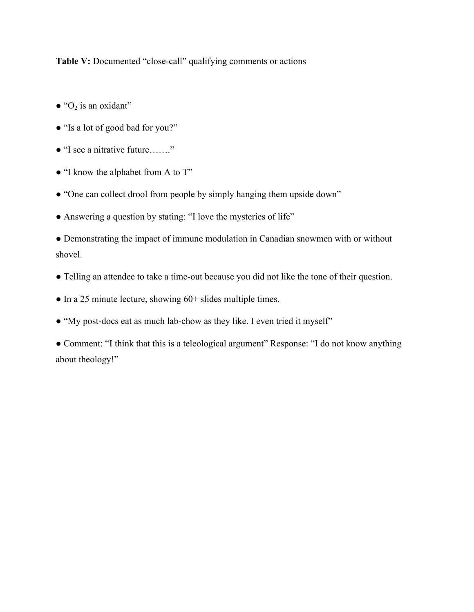**Table V:** Documented "close-call" qualifying comments or actions

- $\bullet$  "O<sub>2</sub> is an oxidant"
- "Is a lot of good bad for you?"
- "I see a nitrative future……."
- "I know the alphabet from A to T"
- "One can collect drool from people by simply hanging them upside down"
- Answering a question by stating: "I love the mysteries of life"

• Demonstrating the impact of immune modulation in Canadian snowmen with or without shovel.

- Telling an attendee to take a time-out because you did not like the tone of their question.
- In a 25 minute lecture, showing 60+ slides multiple times.
- "My post-docs eat as much lab-chow as they like. I even tried it myself"

• Comment: "I think that this is a teleological argument" Response: "I do not know anything about theology!"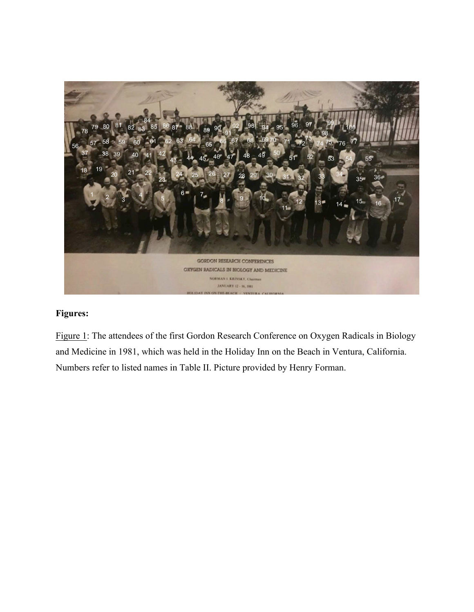

# **Figures:**

Figure 1: The attendees of the first Gordon Research Conference on Oxygen Radicals in Biology and Medicine in 1981, which was held in the Holiday Inn on the Beach in Ventura, California. Numbers refer to listed names in Table II. Picture provided by Henry Forman.